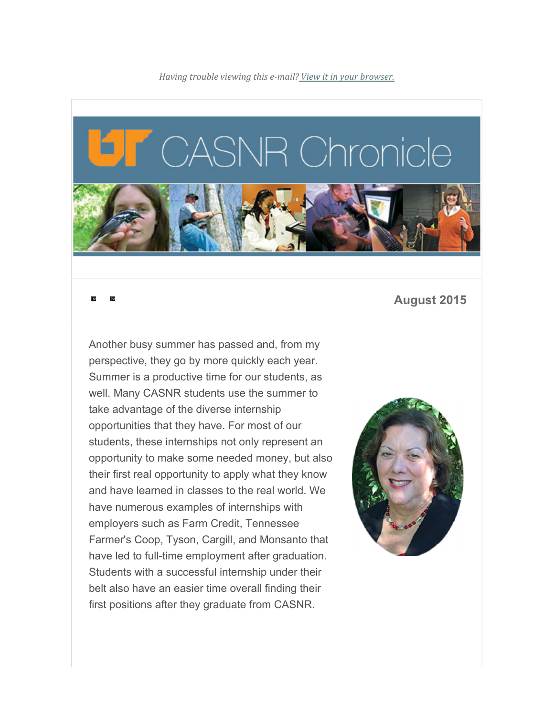

## **August 2015**

Another busy summer has passed and, from my perspective, they go by more quickly each year. Summer is a productive time for our students, as well. Many CASNR students use the summer to take advantage of the diverse internship opportunities that they have. For most of our students, these internships not only represent an opportunity to make some needed money, but also their first real opportunity to apply what they know and have learned in classes to the real world. We have numerous examples of internships with employers such as Farm Credit, Tennessee Farmer's Coop, Tyson, Cargill, and Monsanto that have led to full-time employment after graduation. Students with a successful internship under their belt also have an easier time overall finding their first positions after they graduate from CASNR.

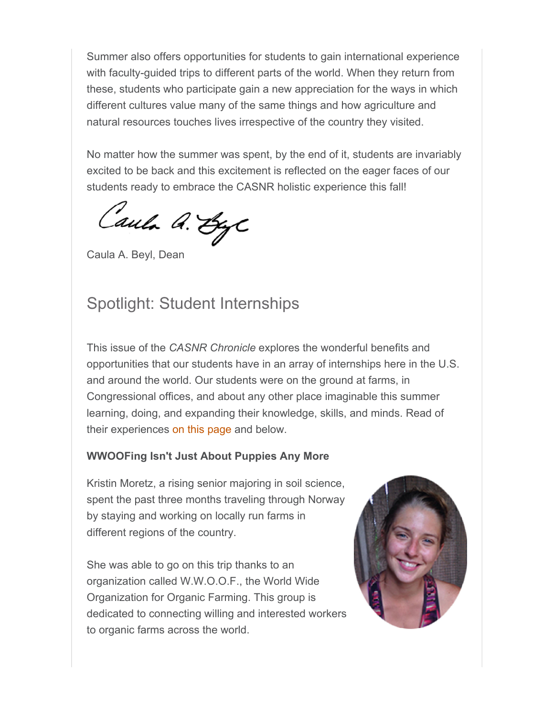Summer also offers opportunities for students to gain international experience with faculty-guided trips to different parts of the world. When they return from these, students who participate gain a new appreciation for the ways in which different cultures value many of the same things and how agriculture and natural resources touches lives irrespective of the country they visited.

No matter how the summer was spent, by the end of it, students are invariably excited to be back and this excitement is reflected on the eager faces of our students ready to embrace the CASNR holistic experience this fall!

Caula A. ByC

Caula A. Beyl, Dean

## Spotlight: Student Internships

This issue of the *CASNR Chronicle* explores the wonderful benefits and opportunities that our students have in an array of internships here in the U.S. and around the world. Our students were on the ground at farms, in Congressional offices, and about any other place imaginable this summer learning, doing, and expanding their knowledge, skills, and minds. Read of their experiences on this page and below.

## **WWOOFing Isn't Just About Puppies Any More**

Kristin Moretz, a rising senior majoring in soil science, spent the past three months traveling through Norway by staying and working on locally run farms in different regions of the country.

She was able to go on this trip thanks to an organization called W.W.O.O.F., the World Wide Organization for Organic Farming. This group is dedicated to connecting willing and interested workers to organic farms across the world.

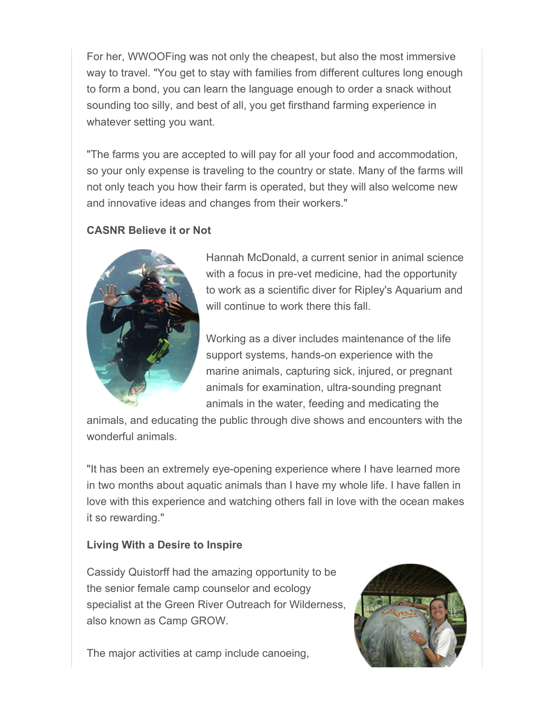For her, WWOOFing was not only the cheapest, but also the most immersive way to travel. "You get to stay with families from different cultures long enough to form a bond, you can learn the language enough to order a snack without sounding too silly, and best of all, you get firsthand farming experience in whatever setting you want.

"The farms you are accepted to will pay for all your food and accommodation, so your only expense is traveling to the country or state. Many of the farms will not only teach you how their farm is operated, but they will also welcome new and innovative ideas and changes from their workers."

## **CASNR Believe it or Not**



Hannah McDonald, a current senior in animal science with a focus in pre-vet medicine, had the opportunity to work as a scientific diver for Ripley's Aquarium and will continue to work there this fall.

Working as a diver includes maintenance of the life support systems, hands-on experience with the marine animals, capturing sick, injured, or pregnant animals for examination, ultra-sounding pregnant animals in the water, feeding and medicating the

animals, and educating the public through dive shows and encounters with the wonderful animals.

"It has been an extremely eye-opening experience where I have learned more in two months about aquatic animals than I have my whole life. I have fallen in love with this experience and watching others fall in love with the ocean makes it so rewarding."

## **Living With a Desire to Inspire**

Cassidy Quistorff had the amazing opportunity to be the senior female camp counselor and ecology specialist at the Green River Outreach for Wilderness, also known as Camp GROW.

The major activities at camp include canoeing,

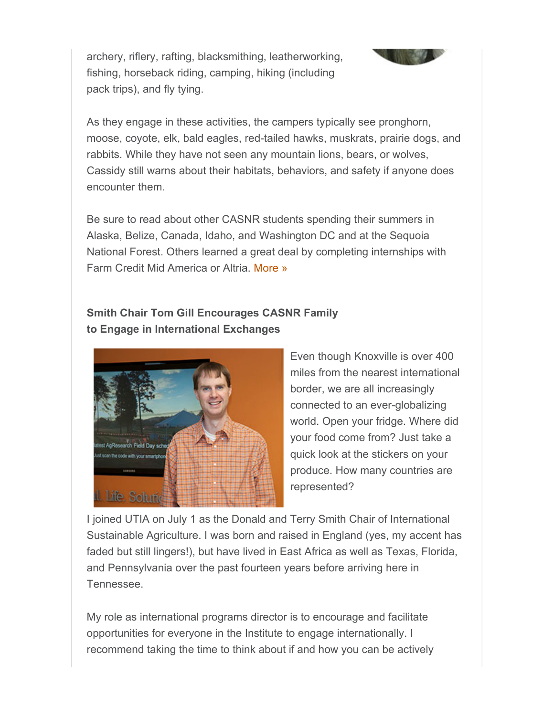archery, riflery, rafting, blacksmithing, leatherworking, fishing, horseback riding, camping, hiking (including pack trips), and fly tying.



As they engage in these activities, the campers typically see pronghorn, moose, coyote, elk, bald eagles, red-tailed hawks, muskrats, prairie dogs, and rabbits. While they have not seen any mountain lions, bears, or wolves, Cassidy still warns about their habitats, behaviors, and safety if anyone does encounter them.

Be sure to read about other CASNR students spending their summers in Alaska, Belize, Canada, Idaho, and Washington DC and at the Sequoia National Forest. Others learned a great deal by completing internships with Farm Credit Mid America or Altria. More »

## **Smith Chair Tom Gill Encourages CASNR Family to Engage in International Exchanges**



Even though Knoxville is over 400 miles from the nearest international border, we are all increasingly connected to an ever-globalizing world. Open your fridge. Where did your food come from? Just take a quick look at the stickers on your produce. How many countries are represented?

I joined UTIA on July 1 as the Donald and Terry Smith Chair of International Sustainable Agriculture. I was born and raised in England (yes, my accent has faded but still lingers!), but have lived in East Africa as well as Texas, Florida, and Pennsylvania over the past fourteen years before arriving here in Tennessee.

My role as international programs director is to encourage and facilitate opportunities for everyone in the Institute to engage internationally. I recommend taking the time to think about if and how you can be actively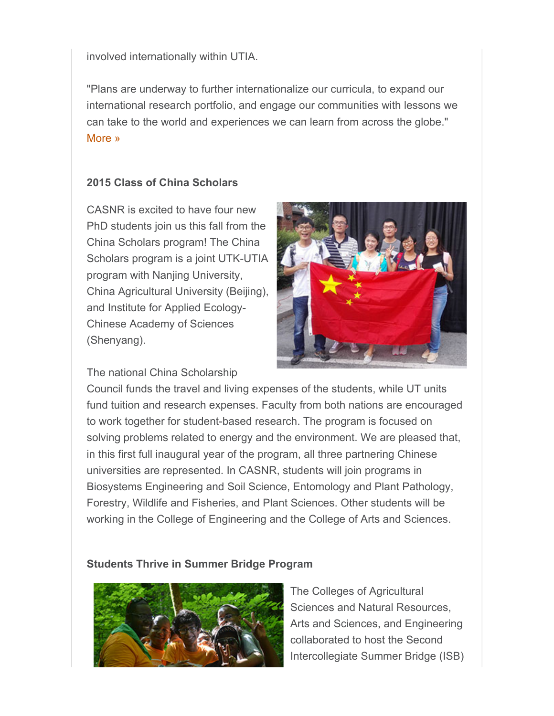involved internationally within UTIA.

"Plans are underway to further internationalize our curricula, to expand our international research portfolio, and engage our communities with lessons we can take to the world and experiences we can learn from across the globe." More »

#### **2015 Class of China Scholars**

CASNR is excited to have four new PhD students join us this fall from the China Scholars program! The China Scholars program is a joint UTK-UTIA program with Nanjing University, China Agricultural University (Beijing), and Institute for Applied Ecology-Chinese Academy of Sciences (Shenyang).

The national China Scholarship



Council funds the travel and living expenses of the students, while UT units fund tuition and research expenses. Faculty from both nations are encouraged to work together for student-based research. The program is focused on solving problems related to energy and the environment. We are pleased that, in this first full inaugural year of the program, all three partnering Chinese universities are represented. In CASNR, students will join programs in Biosystems Engineering and Soil Science, Entomology and Plant Pathology, Forestry, Wildlife and Fisheries, and Plant Sciences. Other students will be working in the College of Engineering and the College of Arts and Sciences.

#### **Students Thrive in Summer Bridge Program**



The Colleges of Agricultural Sciences and Natural Resources, Arts and Sciences, and Engineering collaborated to host the Second Intercollegiate Summer Bridge (ISB)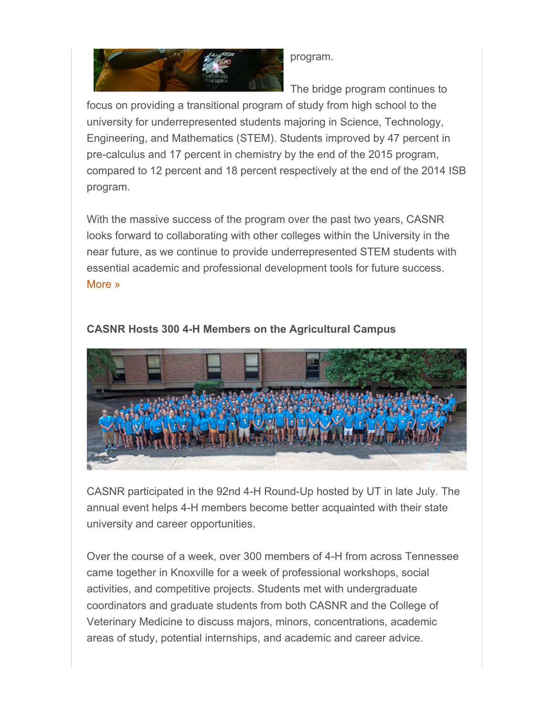

program.

The bridge program continues to

focus on providing a transitional program of study from high school to the university for underrepresented students majoring in Science, Technology, Engineering, and Mathematics (STEM). Students improved by 47 percent in pre-calculus and 17 percent in chemistry by the end of the 2015 program, compared to 12 percent and 18 percent respectively at the end of the 2014 ISB program.

With the massive success of the program over the past two years, CASNR looks forward to collaborating with other colleges within the University in the near future, as we continue to provide underrepresented STEM students with essential academic and professional development tools for future success. More »



## **CASNR Hosts 300 4-H Members on the Agricultural Campus**

CASNR participated in the 92nd 4-H Round-Up hosted by UT in late July. The annual event helps 4-H members become better acquainted with their state university and career opportunities.

Over the course of a week, over 300 members of 4-H from across Tennessee came together in Knoxville for a week of professional workshops, social activities, and competitive projects. Students met with undergraduate coordinators and graduate students from both CASNR and the College of Veterinary Medicine to discuss majors, minors, concentrations, academic areas of study, potential internships, and academic and career advice.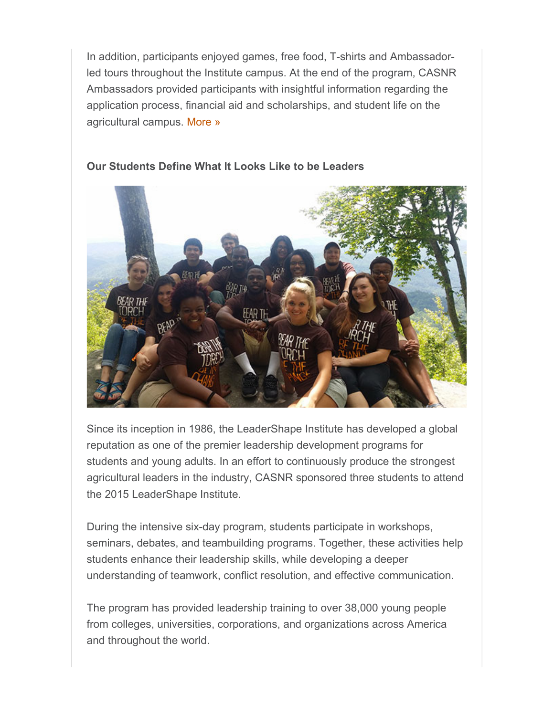In addition, participants enjoyed games, free food, T-shirts and Ambassadorled tours throughout the Institute campus. At the end of the program, CASNR Ambassadors provided participants with insightful information regarding the application process, financial aid and scholarships, and student life on the agricultural campus. More »



#### **Our Students Define What It Looks Like to be Leaders**

Since its inception in 1986, the LeaderShape Institute has developed a global reputation as one of the premier leadership development programs for students and young adults. In an effort to continuously produce the strongest agricultural leaders in the industry, CASNR sponsored three students to attend the 2015 LeaderShape Institute.

During the intensive six-day program, students participate in workshops, seminars, debates, and teambuilding programs. Together, these activities help students enhance their leadership skills, while developing a deeper understanding of teamwork, conflict resolution, and effective communication.

The program has provided leadership training to over 38,000 young people from colleges, universities, corporations, and organizations across America and throughout the world.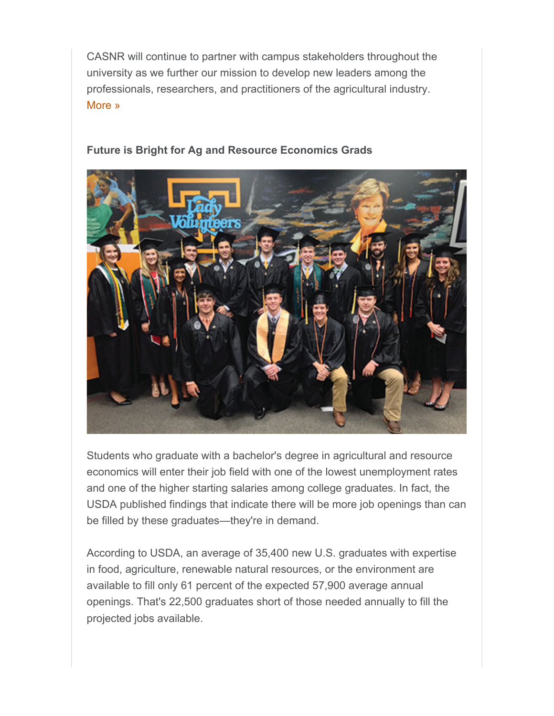CASNR will continue to partner with campus stakeholders throughout the university as we further our mission to develop new leaders among the professionals, researchers, and practitioners of the agricultural industry. More »

#### **Future is Bright for Ag and Resource Economics Grads**



Students who graduate with a bachelor's degree in agricultural and resource economics will enter their job field with one of the lowest unemployment rates and one of the higher starting salaries among college graduates. In fact, the USDA published findings that indicate there will be more job openings than can be filled by these graduates—they're in demand.

According to USDA, an average of 35,400 new U.S. graduates with expertise in food, agriculture, renewable natural resources, or the environment are available to fill only 61 percent of the expected 57,900 average annual openings. That's 22,500 graduates short of those needed annually to fill the projected jobs available.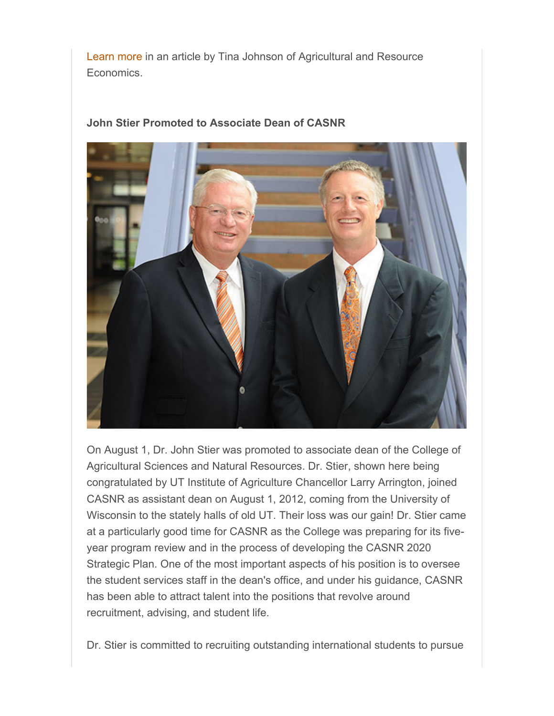Learn more in an article by Tina Johnson of Agricultural and Resource Economics.

## **John Stier Promoted to Associate Dean of CASNR**



On August 1, Dr. John Stier was promoted to associate dean of the College of Agricultural Sciences and Natural Resources. Dr. Stier, shown here being congratulated by UT Institute of Agriculture Chancellor Larry Arrington, joined CASNR as assistant dean on August 1, 2012, coming from the University of Wisconsin to the stately halls of old UT. Their loss was our gain! Dr. Stier came at a particularly good time for CASNR as the College was preparing for its fiveyear program review and in the process of developing the CASNR 2020 Strategic Plan. One of the most important aspects of his position is to oversee the student services staff in the dean's office, and under his guidance, CASNR has been able to attract talent into the positions that revolve around recruitment, advising, and student life.

Dr. Stier is committed to recruiting outstanding international students to pursue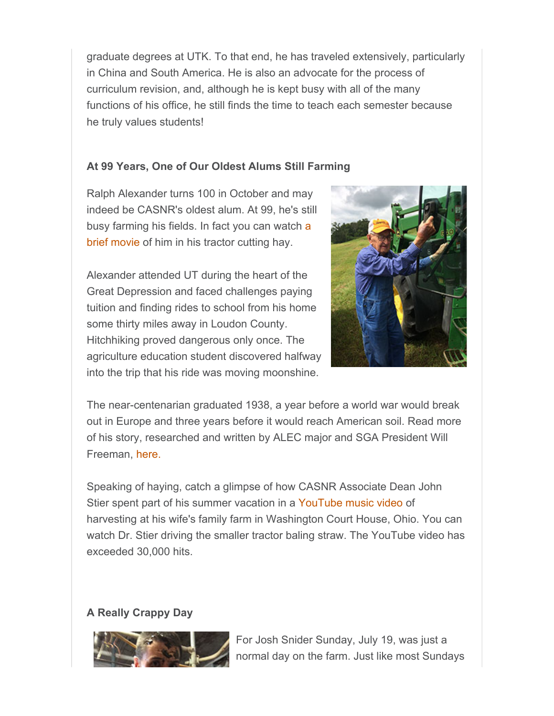graduate degrees at UTK. To that end, he has traveled extensively, particularly in China and South America. He is also an advocate for the process of curriculum revision, and, although he is kept busy with all of the many functions of his office, he still finds the time to teach each semester because he truly values students!

## **At 99 Years, One of Our Oldest Alums Still Farming**

Ralph Alexander turns 100 in October and may indeed be CASNR's oldest alum. At 99, he's still busy farming his fields. In fact you can watch a brief movie of him in his tractor cutting hay.

Alexander attended UT during the heart of the Great Depression and faced challenges paying tuition and finding rides to school from his home some thirty miles away in Loudon County. Hitchhiking proved dangerous only once. The agriculture education student discovered halfway into the trip that his ride was moving moonshine.



The near-centenarian graduated 1938, a year before a world war would break out in Europe and three years before it would reach American soil. Read more of his story, researched and written by ALEC major and SGA President Will Freeman, here.

Speaking of haying, catch a glimpse of how CASNR Associate Dean John Stier spent part of his summer vacation in a YouTube music video of harvesting at his wife's family farm in Washington Court House, Ohio. You can watch Dr. Stier driving the smaller tractor baling straw. The YouTube video has exceeded 30,000 hits.

## **A Really Crappy Day**



For Josh Snider Sunday, July 19, was just a normal day on the farm. Just like most Sundays